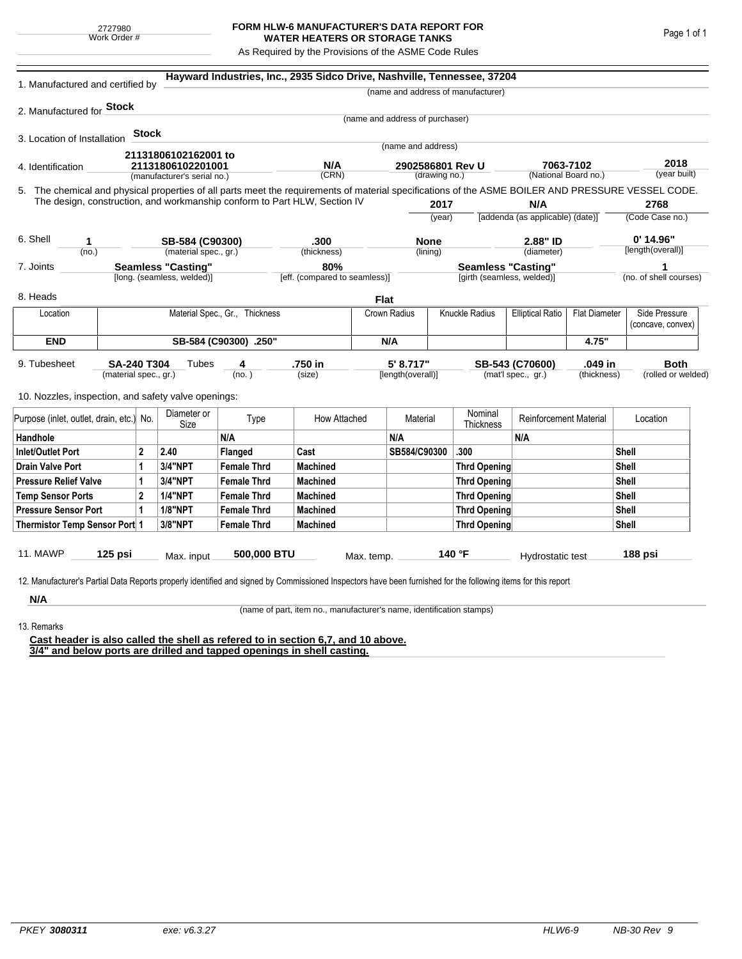## **FORM HLW-6 MANUFACTURER'S DATA REPORT FOR WATER HEATERS OR STORAGE TANKS**

As Required by the Provisions of the ASME Code Rules

| 1. Manufactured and certified by                                                                                                                              |                                                                                                                                                                              |              |                                                  |                                | Hayward Industries, Inc., 2935 Sidco Drive, Nashville, Tennessee, 37204   |            |                                 |                           |                                         |                               |                         |                      |                        |  |
|---------------------------------------------------------------------------------------------------------------------------------------------------------------|------------------------------------------------------------------------------------------------------------------------------------------------------------------------------|--------------|--------------------------------------------------|--------------------------------|---------------------------------------------------------------------------|------------|---------------------------------|---------------------------|-----------------------------------------|-------------------------------|-------------------------|----------------------|------------------------|--|
|                                                                                                                                                               |                                                                                                                                                                              |              |                                                  |                                |                                                                           |            |                                 |                           | (name and address of manufacturer)      |                               |                         |                      |                        |  |
| 2. Manufactured for <b>Stock</b>                                                                                                                              |                                                                                                                                                                              |              |                                                  |                                |                                                                           |            |                                 |                           |                                         |                               |                         |                      |                        |  |
|                                                                                                                                                               |                                                                                                                                                                              |              |                                                  |                                |                                                                           |            | (name and address of purchaser) |                           |                                         |                               |                         |                      |                        |  |
| 3. Location of Installation                                                                                                                                   |                                                                                                                                                                              | <b>Stock</b> |                                                  |                                |                                                                           |            | (name and address)              |                           |                                         |                               |                         |                      |                        |  |
|                                                                                                                                                               |                                                                                                                                                                              |              | 21131806102162001 to                             |                                |                                                                           |            |                                 |                           |                                         |                               |                         |                      |                        |  |
| 4. Identification                                                                                                                                             |                                                                                                                                                                              |              | 21131806102201001<br>(manufacturer's serial no.) |                                | N/A                                                                       |            | 2902586801 Rev U                |                           |                                         | 7063-7102                     |                         | 2018<br>(year built) |                        |  |
|                                                                                                                                                               | (CRN)<br>(drawing no.)<br>5. The chemical and physical properties of all parts meet the requirements of material specifications of the ASME BOILER AND PRESSURE VESSEL CODE. |              |                                                  |                                | (National Board no.)                                                      |            |                                 |                           |                                         |                               |                         |                      |                        |  |
|                                                                                                                                                               |                                                                                                                                                                              |              |                                                  |                                | The design, construction, and workmanship conform to Part HLW, Section IV |            |                                 |                           |                                         |                               |                         |                      |                        |  |
|                                                                                                                                                               |                                                                                                                                                                              |              |                                                  |                                |                                                                           |            | 2017<br>(year)                  |                           | N/A<br>[addenda (as applicable) (date)] |                               | 2768<br>(Code Case no.) |                      |                        |  |
|                                                                                                                                                               |                                                                                                                                                                              |              |                                                  |                                |                                                                           |            |                                 |                           |                                         |                               |                         |                      |                        |  |
| 6. Shell<br>1                                                                                                                                                 |                                                                                                                                                                              |              | SB-584 (C90300)                                  |                                | .300                                                                      |            | <b>None</b>                     |                           |                                         | 2.88" ID                      |                         | $0'$ 14.96"          |                        |  |
| (no.)                                                                                                                                                         |                                                                                                                                                                              |              | (material spec., gr.)                            |                                | (thickness)                                                               |            | (lining)                        |                           |                                         | (diameter)                    |                         |                      | [length(overall)]      |  |
| <b>Seamless "Casting"</b><br>7. Joints                                                                                                                        |                                                                                                                                                                              |              |                                                  | 80%                            |                                                                           |            |                                 | <b>Seamless "Casting"</b> |                                         |                               |                         | 1                    |                        |  |
|                                                                                                                                                               |                                                                                                                                                                              |              | [long. (seamless, welded)]                       |                                | [eff. (compared to seamless)]                                             |            |                                 |                           | [girth (seamless, welded)]              |                               |                         |                      | (no. of shell courses) |  |
| 8. Heads                                                                                                                                                      |                                                                                                                                                                              |              |                                                  |                                |                                                                           |            | Flat                            |                           |                                         |                               |                         |                      |                        |  |
| Location                                                                                                                                                      |                                                                                                                                                                              |              |                                                  | Material Spec., Gr., Thickness |                                                                           |            | Crown Radius                    |                           | <b>Knuckle Radius</b>                   | <b>Elliptical Ratio</b>       | <b>Flat Diameter</b>    |                      | Side Pressure          |  |
|                                                                                                                                                               |                                                                                                                                                                              |              |                                                  |                                |                                                                           |            |                                 |                           |                                         |                               |                         |                      | (concave, convex)      |  |
| <b>END</b>                                                                                                                                                    | SB-584 (C90300) .250"                                                                                                                                                        |              |                                                  |                                |                                                                           |            | N/A                             |                           |                                         |                               | 4.75"                   |                      |                        |  |
| 9. Tubesheet                                                                                                                                                  | SA-240 T304                                                                                                                                                                  |              | Tubes                                            | 4                              | .750 in                                                                   |            | 5' 8.717"                       |                           |                                         | .049 in<br>SB-543 (C70600)    |                         |                      | <b>Both</b>            |  |
| (material spec., gr.)                                                                                                                                         |                                                                                                                                                                              |              |                                                  | (no. )                         | (size)                                                                    |            | [length(overall)]               |                           | (mat'l spec., gr.)<br>(thickness)       |                               |                         | (rolled or welded)   |                        |  |
| 10. Nozzles, inspection, and safety valve openings:                                                                                                           |                                                                                                                                                                              |              |                                                  |                                |                                                                           |            |                                 |                           |                                         |                               |                         |                      |                        |  |
|                                                                                                                                                               |                                                                                                                                                                              |              |                                                  |                                |                                                                           |            |                                 |                           |                                         |                               |                         |                      |                        |  |
| Purpose (inlet, outlet, drain, etc.) No.                                                                                                                      |                                                                                                                                                                              |              | Diameter or<br>Size                              | Type                           | How Attached                                                              |            | Material                        |                           | Nominal<br><b>Thickness</b>             | <b>Reinforcement Material</b> |                         |                      | Location               |  |
| Handhole                                                                                                                                                      |                                                                                                                                                                              |              |                                                  | N/A                            |                                                                           |            | N/A                             |                           |                                         | N/A                           |                         |                      |                        |  |
| $\overline{2}$<br><b>Inlet/Outlet Port</b>                                                                                                                    |                                                                                                                                                                              |              | 2.40                                             | Flanged                        | Cast                                                                      |            | SB584/C90300                    |                           | .300                                    |                               |                         | Shell                |                        |  |
| <b>Drain Valve Port</b><br>1                                                                                                                                  |                                                                                                                                                                              |              | 3/4"NPT                                          | <b>Female Thrd</b>             | <b>Machined</b>                                                           |            |                                 |                           | <b>Thrd Opening</b>                     |                               |                         |                      | Shell                  |  |
| <b>Pressure Relief Valve</b><br>1                                                                                                                             |                                                                                                                                                                              |              | 3/4"NPT                                          | <b>Female Thrd</b>             | <b>Machined</b>                                                           |            |                                 |                           | Thrd Opening                            |                               |                         | <b>Shell</b>         |                        |  |
| $\overline{2}$<br><b>Temp Sensor Ports</b>                                                                                                                    |                                                                                                                                                                              |              | <b>1/4"NPT</b>                                   | <b>Female Thrd</b>             | <b>Machined</b>                                                           |            |                                 | Thrd Opening              |                                         |                               | <b>Shell</b>            |                      |                        |  |
| <b>Pressure Sensor Port</b><br>1                                                                                                                              |                                                                                                                                                                              |              | <b>1/8"NPT</b>                                   | <b>Female Thrd</b>             | <b>Machined</b>                                                           |            |                                 | Thrd Opening              |                                         |                               |                         |                      | <b>Shell</b>           |  |
| Thermistor Temp Sensor Port 1                                                                                                                                 |                                                                                                                                                                              |              | 3/8"NPT                                          | <b>Female Thrd</b>             | <b>Machined</b>                                                           |            |                                 | <b>Thrd Opening</b>       |                                         |                               |                         |                      | Shell                  |  |
|                                                                                                                                                               |                                                                                                                                                                              |              |                                                  |                                |                                                                           |            |                                 |                           |                                         |                               |                         |                      |                        |  |
| 11. MAWP                                                                                                                                                      | 125 psi                                                                                                                                                                      |              | Max. input                                       | 500,000 BTU                    |                                                                           | Max. temp. |                                 |                           | 140 °F                                  | Hydrostatic test              |                         |                      | 188 psi                |  |
|                                                                                                                                                               |                                                                                                                                                                              |              |                                                  |                                |                                                                           |            |                                 |                           |                                         |                               |                         |                      |                        |  |
| 12. Manufacturer's Partial Data Reports properly identified and signed by Commissioned Inspectors have been furnished for the following items for this report |                                                                                                                                                                              |              |                                                  |                                |                                                                           |            |                                 |                           |                                         |                               |                         |                      |                        |  |
| N/A                                                                                                                                                           |                                                                                                                                                                              |              |                                                  |                                |                                                                           |            |                                 |                           |                                         |                               |                         |                      |                        |  |

13. Remarks

(name of part, item no., manufacturer's name, identification stamps)

**Cast header is also called the shell as refered to in section 6,7, and 10 above. 3/4" and below ports are drilled and tapped openings in shell casting.**

Page 1 of 1